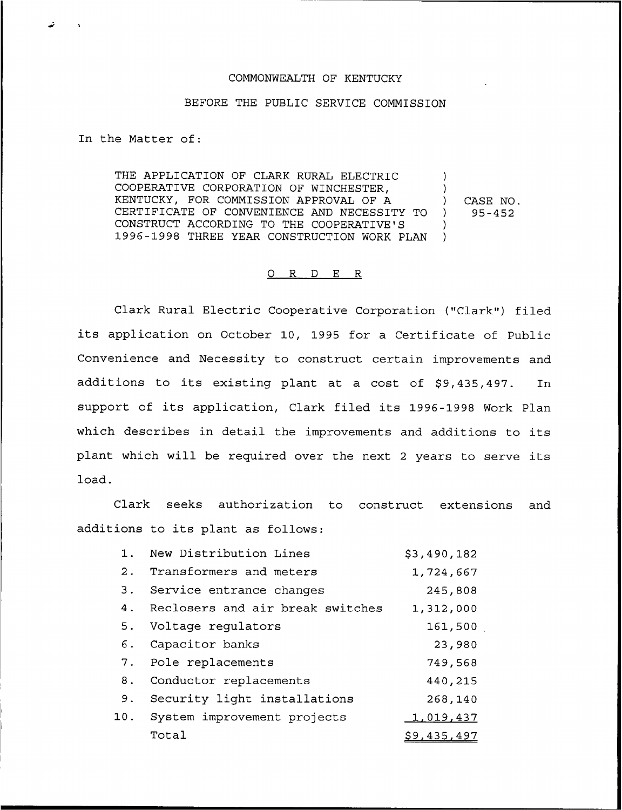## COMMONWEALTH OF KENTUCKY

## BEFORE THE PUBLIC SERVICE COMMISSION

In the Matter of:

THE APPLICATION OF CLARK RURAL ELECTRIC COOPERATIVE CORPORATION OF WINCHESTER, KENTUCKY, FOR COMMISSION APPROVAL OF A CERTIFICATE OF CONVENIENCE AND NECESSITY TO CONSTRUCT ACCORDING TO THE COOPERATIVE'S 1996-1998 THREE YEAR CONSTRUCTION WORK PIAN ) ) ) CASE NO. ) 95-452 ) )

## 0 R <sup>D</sup> E R

Clark Rural Electric Cooperative Corporation ("Clark") filed its application on October 10, 1995 for a Certificate of Public Convenience and Necessity to construct certain improvements and additions to its existing plant at a cost of \$9,435,497. In support of its application, Clark filed its 1996-1998 Work Plan which describes in detail the improvements and additions to its plant which will be required over the next <sup>2</sup> years to serve its load.

Clark seeks authorization to construct extensions and additions to its plant as follows:

| $1$ . | New Distribution Lines           | \$3,490,182 |
|-------|----------------------------------|-------------|
| 2.    | Transformers and meters          | 1,724,667   |
| 3.    | Service entrance changes         | 245,808     |
| 4.    | Reclosers and air break switches | 1,312,000   |
| 5.    | Voltage regulators               | 161,500     |
| 6.    | Capacitor banks                  | 23,980      |
|       | 7. Pole replacements             | 749,568     |
| 8.    | Conductor replacements           | 440,215     |
| 9.    | Security light installations     | 268,140     |
| 10.   | System improvement projects      | 1,019,437   |
|       | Total                            | \$9,435,497 |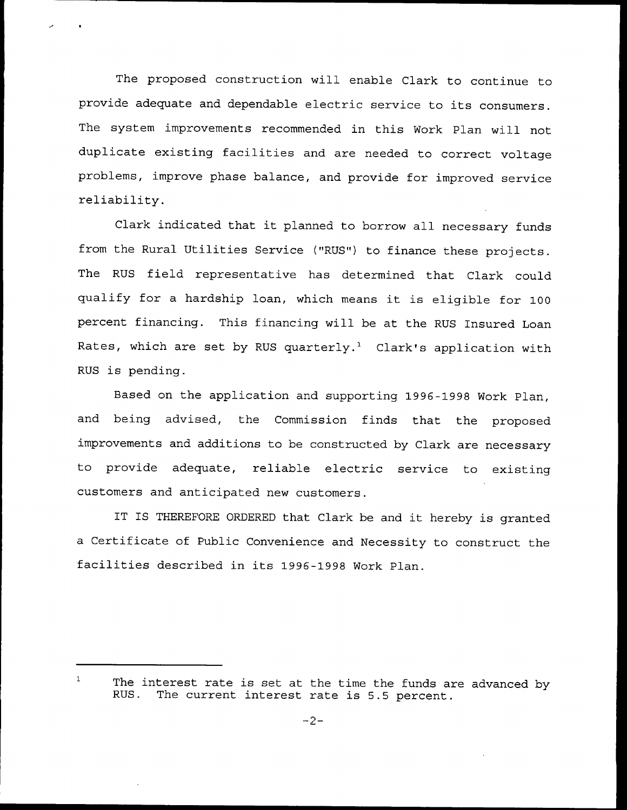The proposed construction will enable Clark to continue to provide adequate and dependable electric service to its consumers. The system improvements recommended in this Work Plan will not duplicate existing facilities and are needed to correct voltage problems, improve phase balance, and provide for improved service reliability.

Clark indicated that it planned to borrow all necessary funds from the Rural Utilities Service ("RUS") to finance these projects. The RUS field representative has determined that Clark could qualify for <sup>a</sup> hardship loan, which means it is eligible for <sup>100</sup> percent financing. This financing will be at the RUS Insured Loan Rates, which are set by RUS quarterly.<sup>1</sup> Clark's application with RUS is pending.

Based on the application and supporting 1996-1998 Work Plan, and being advised, the Commission finds that the proposed improvements and additions to be constructed by Clark are necessary to provide adequate, reliable electric service to existing customers and anticipated new customers.

IT IS THEREFORE ORDERED that Clark be and it hereby is granted a Certificate of Public Convenience and Necessity to construct the facilities described in its 1996-1998 Work Plan.

 $\mathbf{1}$ The interest rate is set at the time the funds are advanced by<br>RUS. The current interest rate is 5.5 percent The current interest rate is 5.5 percent.